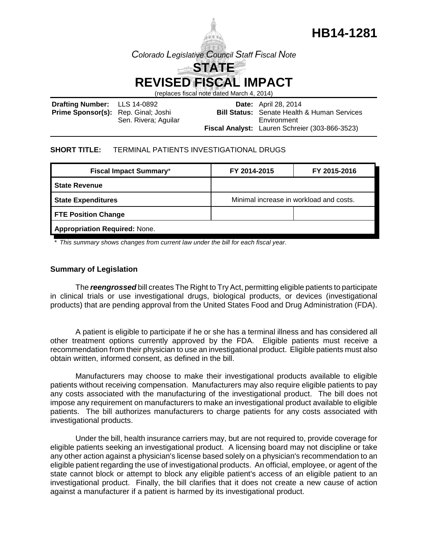

(replaces fiscal note dated March 4, 2014)

| <b>Drafting Number:</b> LLS 14-0892        |                      | <b>Date:</b> April 28, 2014                        |
|--------------------------------------------|----------------------|----------------------------------------------------|
| <b>Prime Sponsor(s):</b> Rep. Ginal; Joshi |                      | <b>Bill Status:</b> Senate Health & Human Services |
|                                            | Sen. Rivera; Aguilar | Environment                                        |
|                                            |                      | Fiscal Analyst: Lauren Schreier (303-866-3523)     |

#### **SHORT TITLE:** TERMINAL PATIENTS INVESTIGATIONAL DRUGS

| <b>Fiscal Impact Summary*</b>        | FY 2014-2015                            | FY 2015-2016 |  |  |
|--------------------------------------|-----------------------------------------|--------------|--|--|
| <b>State Revenue</b>                 |                                         |              |  |  |
| <b>State Expenditures</b>            | Minimal increase in workload and costs. |              |  |  |
| <b>FTE Position Change</b>           |                                         |              |  |  |
| <b>Appropriation Required: None.</b> |                                         |              |  |  |

*\* This summary shows changes from current law under the bill for each fiscal year.* 

### **Summary of Legislation**

The *reengrossed* bill creates The Right to Try Act, permitting eligible patients to participate in clinical trials or use investigational drugs, biological products, or devices (investigational products) that are pending approval from the United States Food and Drug Administration (FDA).

A patient is eligible to participate if he or she has a terminal illness and has considered all other treatment options currently approved by the FDA. Eligible patients must receive a recommendation from their physician to use an investigational product. Eligible patients must also obtain written, informed consent, as defined in the bill.

Manufacturers may choose to make their investigational products available to eligible patients without receiving compensation. Manufacturers may also require eligible patients to pay any costs associated with the manufacturing of the investigational product. The bill does not impose any requirement on manufacturers to make an investigational product available to eligible patients. The bill authorizes manufacturers to charge patients for any costs associated with investigational products.

Under the bill, health insurance carriers may, but are not required to, provide coverage for eligible patients seeking an investigational product. A licensing board may not discipline or take any other action against a physician's license based solely on a physician's recommendation to an eligible patient regarding the use of investigational products. An official, employee, or agent of the state cannot block or attempt to block any eligible patient's access of an eligible patient to an investigational product. Finally, the bill clarifies that it does not create a new cause of action against a manufacturer if a patient is harmed by its investigational product.